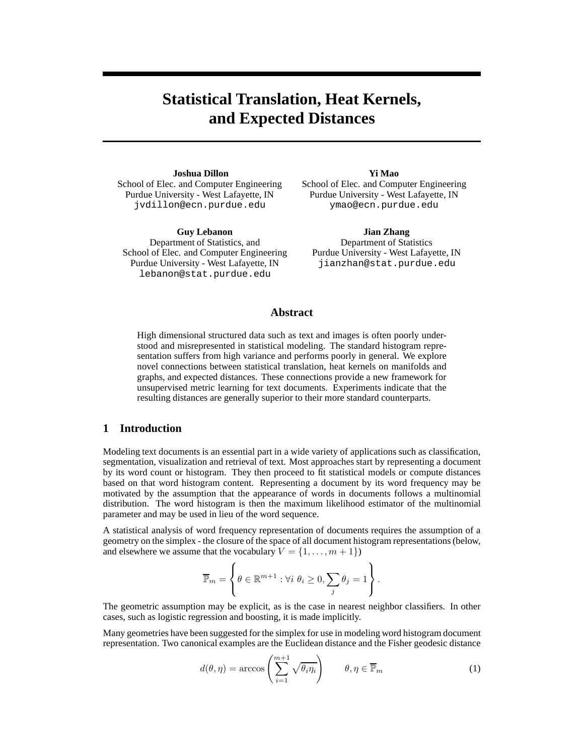# **Statistical Translation, Heat Kernels, and Expected Distances**

**Joshua Dillon** School of Elec. and Computer Engineering Purdue University - West Lafayette, IN jvdillon@ecn.purdue.edu

**Guy Lebanon** Department of Statistics, and School of Elec. and Computer Engineering Purdue University - West Lafayette, IN lebanon@stat.purdue.edu

**Yi Mao**

School of Elec. and Computer Engineering Purdue University - West Lafayette, IN ymao@ecn.purdue.edu

**Jian Zhang** Department of Statistics Purdue University - West Lafayette, IN jianzhan@stat.purdue.edu

#### **Abstract**

High dimensional structured data such as text and images is often poorly understood and misrepresented in statistical modeling. The standard histogram representation suffers from high variance and performs poorly in general. We explore novel connections between statistical translation, heat kernels on manifolds and graphs, and expected distances. These connections provide a new framework for unsupervised metric learning for text documents. Experiments indicate that the resulting distances are generally superior to their more standard counterparts.

## **1 Introduction**

Modeling text documents is an essential part in a wide variety of applications such as classification, segmentation, visualization and retrieval of text. Most approaches start by representing a document by its word count or histogram. They then proceed to fit statistical models or compute distances based on that word histogram content. Representing a document by its word frequency may be motivated by the assumption that the appearance of words in documents follows a multinomial distribution. The word histogram is then the maximum likelihood estimator of the multinomial parameter and may be used in lieu of the word sequence.

A statistical analysis of word frequency representation of documents requires the assumption of a geometry on the simplex - the closure of the space of all document histogram representations (below, and elsewhere we assume that the vocabulary  $V = \{1, \ldots, m+1\}$ 

$$
\overline{\mathbb{P}}_m = \left\{ \theta \in \mathbb{R}^{m+1} : \forall i \ \theta_i \geq 0, \sum_j \theta_j = 1 \right\}.
$$

The geometric assumption may be explicit, as is the case in nearest neighbor classifiers. In other cases, such as logistic regression and boosting, it is made implicitly.

Many geometries have been suggested for the simplex for use in modeling word histogram document representation. Two canonical examples are the Euclidean distance and the Fisher geodesic distance

$$
d(\theta, \eta) = \arccos\left(\sum_{i=1}^{m+1} \sqrt{\theta_i \eta_i}\right) \qquad \theta, \eta \in \overline{\mathbb{P}}_m \tag{1}
$$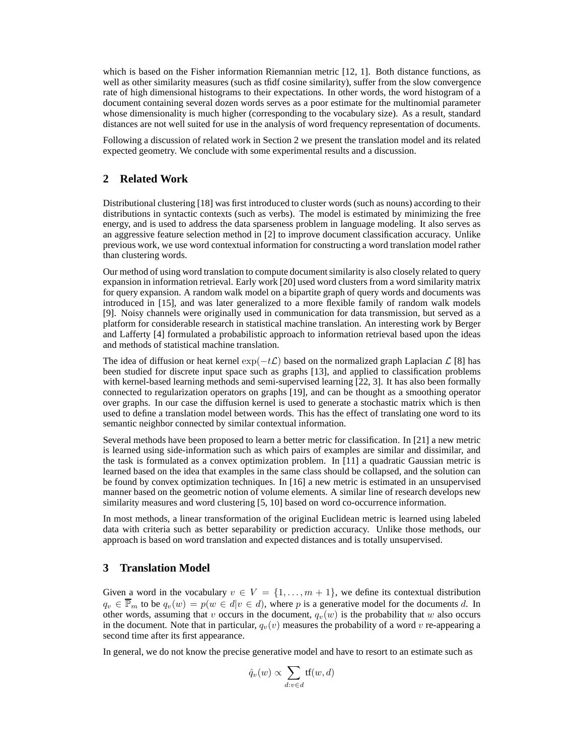which is based on the Fisher information Riemannian metric [12, 1]. Both distance functions, as well as other similarity measures (such as tfidf cosine similarity), suffer from the slow convergence rate of high dimensional histograms to their expectations. In other words, the word histogram of a document containing several dozen words serves as a poor estimate for the multinomial parameter whose dimensionality is much higher (corresponding to the vocabulary size). As a result, standard distances are not well suited for use in the analysis of word frequency representation of documents.

Following a discussion of related work in Section 2 we present the translation model and its related expected geometry. We conclude with some experimental results and a discussion.

# **2 Related Work**

Distributional clustering [18] was first introduced to cluster words (such as nouns) according to their distributions in syntactic contexts (such as verbs). The model is estimated by minimizing the free energy, and is used to address the data sparseness problem in language modeling. It also serves as an aggressive feature selection method in [2] to improve document classification accuracy. Unlike previous work, we use word contextual information for constructing a word translation model rather than clustering words.

Our method of using word translation to compute document similarity is also closely related to query expansion in information retrieval. Early work [20] used word clusters from a word similarity matrix for query expansion. A random walk model on a bipartite graph of query words and documents was introduced in [15], and was later generalized to a more flexible family of random walk models [9]. Noisy channels were originally used in communication for data transmission, but served as a platform for considerable research in statistical machine translation. An interesting work by Berger and Lafferty [4] formulated a probabilistic approach to information retrieval based upon the ideas and methods of statistical machine translation.

The idea of diffusion or heat kernel  $\exp(-t\mathcal{L})$  based on the normalized graph Laplacian  $\mathcal{L}$  [8] has been studied for discrete input space such as graphs [13], and applied to classification problems with kernel-based learning methods and semi-supervised learning [22, 3]. It has also been formally connected to regularization operators on graphs [19], and can be thought as a smoothing operator over graphs. In our case the diffusion kernel is used to generate a stochastic matrix which is then used to define a translation model between words. This has the effect of translating one word to its semantic neighbor connected by similar contextual information.

Several methods have been proposed to learn a better metric for classification. In [21] a new metric is learned using side-information such as which pairs of examples are similar and dissimilar, and the task is formulated as a convex optimization problem. In [11] a quadratic Gaussian metric is learned based on the idea that examples in the same class should be collapsed, and the solution can be found by convex optimization techniques. In [16] a new metric is estimated in an unsupervised manner based on the geometric notion of volume elements. A similar line of research develops new similarity measures and word clustering [5, 10] based on word co-occurrence information.

In most methods, a linear transformation of the original Euclidean metric is learned using labeled data with criteria such as better separability or prediction accuracy. Unlike those methods, our approach is based on word translation and expected distances and is totally unsupervised.

# **3 Translation Model**

Given a word in the vocabulary  $v \in V = \{1, \ldots, m+1\}$ , we define its contextual distribution  $q_v \in \overline{\mathbb{P}_m}$  to be  $q_v(w) = p(w \in d | v \in d)$ , where p is a generative model for the documents d. In other words, assuming that v occurs in the document,  $q_v(w)$  is the probability that w also occurs in the document. Note that in particular,  $q_v(v)$  measures the probability of a word v re-appearing a second time after its first appearance.

In general, we do not know the precise generative model and have to resort to an estimate such as

$$
\hat{q}_v(w) \propto \sum_{d:v \in d} \text{tf}(w, d)
$$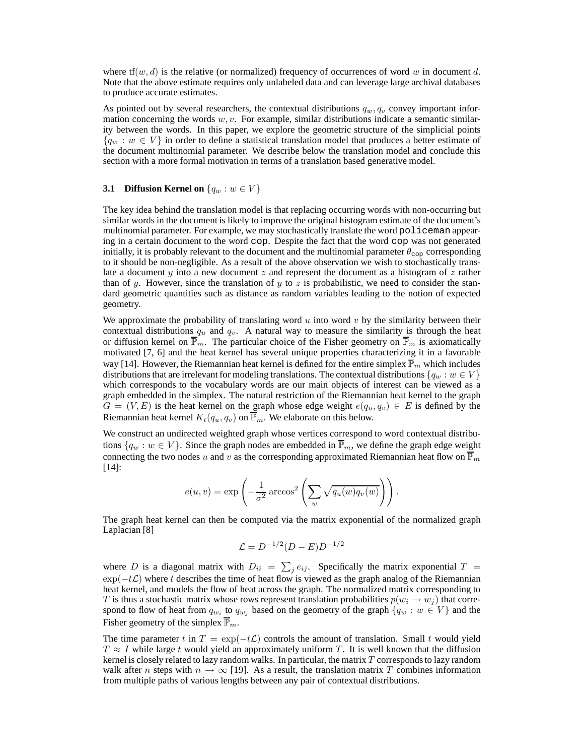where  $tf(w, d)$  is the relative (or normalized) frequency of occurrences of word w in document d. Note that the above estimate requires only unlabeled data and can leverage large archival databases to produce accurate estimates.

As pointed out by several researchers, the contextual distributions  $q_w, q_v$  convey important information concerning the words  $w, v$ . For example, similar distributions indicate a semantic similarity between the words. In this paper, we explore the geometric structure of the simplicial points  ${q_w : w \in V}$  in order to define a statistical translation model that produces a better estimate of the document multinomial parameter. We describe below the translation model and conclude this section with a more formal motivation in terms of a translation based generative model.

# **3.1 Diffusion Kernel on**  $\{q_w : w \in V\}$

The key idea behind the translation model is that replacing occurring words with non-occurring but similar words in the document is likely to improve the original histogram estimate of the document's multinomial parameter. For example, we may stochastically translate the word policeman appearing in a certain document to the word cop. Despite the fact that the word cop was not generated initially, it is probably relevant to the document and the multinomial parameter  $\theta_{\text{cop}}$  corresponding to it should be non-negligible. As a result of the above observation we wish to stochastically translate a document  $y$  into a new document  $z$  and represent the document as a histogram of  $z$  rather than of y. However, since the translation of y to z is probabilistic, we need to consider the standard geometric quantities such as distance as random variables leading to the notion of expected geometry.

We approximate the probability of translating word  $u$  into word  $v$  by the similarity between their contextual distributions  $q_u$  and  $q_v$ . A natural way to measure the similarity is through the heat or diffusion kernel on  $\overline{\mathbb{P}}_m$ . The particular choice of the Fisher geometry on  $\overline{\mathbb{P}}_m$  is axiomatically motivated [7, 6] and the heat kernel has several unique properties characterizing it in a favorable way [14]. However, the Riemannian heat kernel is defined for the entire simplex  $\mathbb{P}_m$  which includes distributions that are irrelevant for modeling translations. The contextual distributions  $\{q_w : w \in V\}$ which corresponds to the vocabulary words are our main objects of interest can be viewed as a graph embedded in the simplex. The natural restriction of the Riemannian heat kernel to the graph  $G = (V, E)$  is the heat kernel on the graph whose edge weight  $e(q_u, q_v) \in E$  is defined by the Riemannian heat kernel  $K_t(q_u, q_v)$  on  $\overline{\mathbb{P}}_m$ . We elaborate on this below.

We construct an undirected weighted graph whose vertices correspond to word contextual distributions  $\{q_w : w \in V\}$ . Since the graph nodes are embedded in  $\overline{\mathbb{P}}_m$ , we define the graph edge weight connecting the two nodes u and v as the corresponding approximated Riemannian heat flow on  $\overline{\mathbb{P}}_m$ [14]:

$$
e(u,v) = \exp\left(-\frac{1}{\sigma^2} \arccos^2\left(\sum_w \sqrt{q_u(w)q_v(w)}\right)\right).
$$

The graph heat kernel can then be computed via the matrix exponential of the normalized graph Laplacian [8]

$$
\mathcal{L} = D^{-1/2} (D - E) D^{-1/2}
$$

where D is a diagonal matrix with  $D_{ii} = \sum_j e_{ij}$ . Specifically the matrix exponential  $T =$  $\exp(-t\mathcal{L})$  where t describes the time of heat flow is viewed as the graph analog of the Riemannian heat kernel, and models the flow of heat across the graph. The normalized matrix corresponding to T is thus a stochastic matrix whose rows represent translation probabilities  $p(w_i \rightarrow w_j)$  that correspond to flow of heat from  $q_{w_i}$  to  $q_{w_j}$  based on the geometry of the graph  $\{q_w : w \in V\}$  and the Fisher geometry of the simplex  $\overline{\mathbb{P}}_m$ .

The time parameter t in  $T = \exp(-t\mathcal{L})$  controls the amount of translation. Small t would yield  $T \approx I$  while large t would yield an approximately uniform T. It is well known that the diffusion kernel is closely related to lazy random walks. In particular, the matrix  $T$  corresponds to lazy random walk after n steps with  $n \to \infty$  [19]. As a result, the translation matrix T combines information from multiple paths of various lengths between any pair of contextual distributions.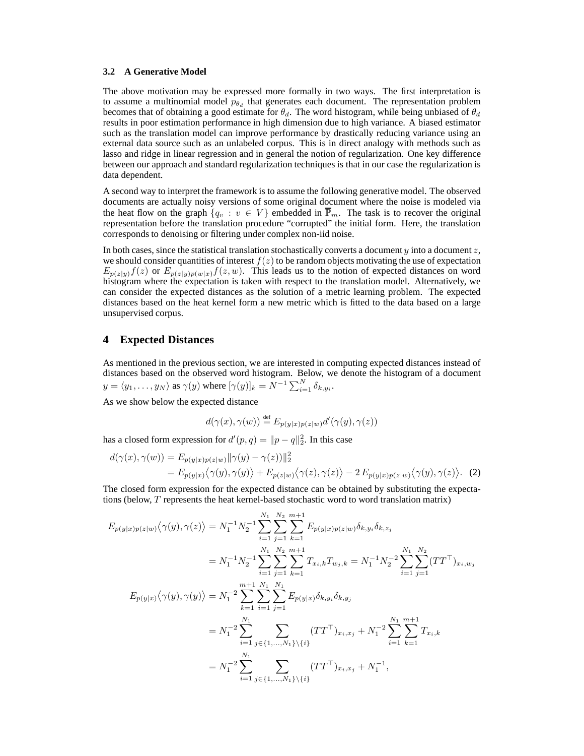#### **3.2 A Generative Model**

The above motivation may be expressed more formally in two ways. The first interpretation is to assume a multinomial model  $p_{\theta_d}$  that generates each document. The representation problem becomes that of obtaining a good estimate for  $\theta_d$ . The word histogram, while being unbiased of  $\theta_d$ results in poor estimation performance in high dimension due to high variance. A biased estimator such as the translation model can improve performance by drastically reducing variance using an external data source such as an unlabeled corpus. This is in direct analogy with methods such as lasso and ridge in linear regression and in general the notion of regularization. One key difference between our approach and standard regularization techniques is that in our case the regularization is data dependent.

A second way to interpret the framework is to assume the following generative model. The observed documents are actually noisy versions of some original document where the noise is modeled via the heat flow on the graph  $\{q_v : v \in V\}$  embedded in  $\overline{\mathbb{P}}_m$ . The task is to recover the original representation before the translation procedure "corrupted" the initial form. Here, the translation corresponds to denoising or filtering under complex non-iid noise.

In both cases, since the statistical translation stochastically converts a document y into a document  $z$ , we should consider quantities of interest  $f(z)$  to be random objects motivating the use of expectation  $E_{p(z|y)}f(z)$  or  $E_{p(z|y)p(w|x)}f(z, w)$ . This leads us to the notion of expected distances on word histogram where the expectation is taken with respect to the translation model. Alternatively, we can consider the expected distances as the solution of a metric learning problem. The expected distances based on the heat kernel form a new metric which is fitted to the data based on a large unsupervised corpus.

### **4 Expected Distances**

As mentioned in the previous section, we are interested in computing expected distances instead of distances based on the observed word histogram. Below, we denote the histogram of a document  $y = \langle y_1, \ldots, y_N \rangle$  as  $\gamma(y)$  where  $[\gamma(y)]_k = N^{-1} \sum_{i=1}^N \delta_{k, y_i}$ .

As we show below the expected distance

$$
d(\gamma(x), \gamma(w)) \stackrel{\text{def}}{=} E_{p(y|x)p(z|w)} d'(\gamma(y), \gamma(z))
$$

has a closed form expression for  $d'(p, q) = ||p - q||_2^2$ . In this case

$$
d(\gamma(x), \gamma(w)) = E_{p(y|x)p(z|w)} ||\gamma(y) - \gamma(z)||_2^2
$$
  
= 
$$
E_{p(y|x)} \langle \gamma(y), \gamma(y) \rangle + E_{p(z|w)} \langle \gamma(z), \gamma(z) \rangle - 2 E_{p(y|x)p(z|w)} \langle \gamma(y), \gamma(z) \rangle.
$$
 (2)

The closed form expression for the expected distance can be obtained by substituting the expectations (below, T represents the heat kernel-based stochastic word to word translation matrix)

$$
E_{p(y|x)p(z|w)}\langle \gamma(y), \gamma(z) \rangle = N_1^{-1} N_2^{-1} \sum_{i=1}^{N_1} \sum_{j=1}^{N_2} \sum_{k=1}^{m+1} E_{p(y|x)p(z|w)} \delta_{k,y_i} \delta_{k,z_j}
$$
  
\n
$$
= N_1^{-1} N_2^{-1} \sum_{i=1}^{N_1} \sum_{j=1}^{N_2} \sum_{k=1}^{m+1} T_{x_i,k} T_{w_j,k} = N_1^{-1} N_2^{-2} \sum_{i=1}^{N_1} \sum_{j=1}^{N_2} (TT^{\top})_{x_i,w_j}
$$
  
\n
$$
E_{p(y|x)}\langle \gamma(y), \gamma(y) \rangle = N_1^{-2} \sum_{k=1}^{m+1} \sum_{i=1}^{N_1} \sum_{j=1}^{N_1} E_{p(y|x)} \delta_{k,y_i} \delta_{k,y_j}
$$
  
\n
$$
= N_1^{-2} \sum_{i=1}^{N_1} \sum_{j \in \{1, \ldots, N_1\} \setminus \{i\}} (TT^{\top})_{x_i,x_j} + N_1^{-2} \sum_{i=1}^{N_1} \sum_{k=1}^{m+1} T_{x_i,k}
$$
  
\n
$$
= N_1^{-2} \sum_{i=1}^{N_1} \sum_{j \in \{1, \ldots, N_1\} \setminus \{i\}} (TT^{\top})_{x_i,x_j} + N_1^{-1},
$$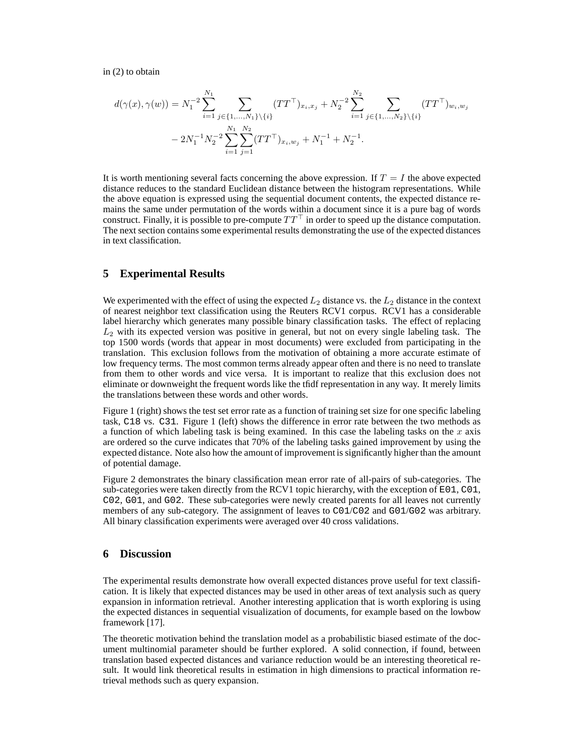in (2) to obtain

$$
d(\gamma(x), \gamma(w)) = N_1^{-2} \sum_{i=1}^{N_1} \sum_{j \in \{1, ..., N_1\} \setminus \{i\}} (TT^{\top})_{x_i, x_j} + N_2^{-2} \sum_{i=1}^{N_2} \sum_{j \in \{1, ..., N_2\} \setminus \{i\}} (TT^{\top})_{w_i, w_j}
$$

$$
-2N_1^{-1}N_2^{-2} \sum_{i=1}^{N_1} \sum_{j=1}^{N_2} (TT^{\top})_{x_i, w_j} + N_1^{-1} + N_2^{-1}.
$$

It is worth mentioning several facts concerning the above expression. If  $T = I$  the above expected distance reduces to the standard Euclidean distance between the histogram representations. While the above equation is expressed using the sequential document contents, the expected distance remains the same under permutation of the words within a document since it is a pure bag of words construct. Finally, it is possible to pre-compute  $TT<sup>T</sup>$  in order to speed up the distance computation. The next section contains some experimental results demonstrating the use of the expected distances in text classification.

## **5 Experimental Results**

We experimented with the effect of using the expected  $L_2$  distance vs. the  $L_2$  distance in the context of nearest neighbor text classification using the Reuters RCV1 corpus. RCV1 has a considerable label hierarchy which generates many possible binary classification tasks. The effect of replacing  $L<sub>2</sub>$  with its expected version was positive in general, but not on every single labeling task. The top 1500 words (words that appear in most documents) were excluded from participating in the translation. This exclusion follows from the motivation of obtaining a more accurate estimate of low frequency terms. The most common terms already appear often and there is no need to translate from them to other words and vice versa. It is important to realize that this exclusion does not eliminate or downweight the frequent words like the tfidf representation in any way. It merely limits the translations between these words and other words.

Figure 1 (right) shows the test set error rate as a function of training set size for one specific labeling task, C18 vs. C31. Figure 1 (left) shows the difference in error rate between the two methods as a function of which labeling task is being examined. In this case the labeling tasks on the  $x$  axis are ordered so the curve indicates that 70% of the labeling tasks gained improvement by using the expected distance. Note also how the amount of improvement is significantly higher than the amount of potential damage.

Figure 2 demonstrates the binary classification mean error rate of all-pairs of sub-categories. The sub-categories were taken directly from the RCV1 topic hierarchy, with the exception of E01, C01, C02, G01, and G02. These sub-categories were newly created parents for all leaves not currently members of any sub-category. The assignment of leaves to C01/C02 and G01/G02 was arbitrary. All binary classification experiments were averaged over 40 cross validations.

# **6 Discussion**

The experimental results demonstrate how overall expected distances prove useful for text classification. It is likely that expected distances may be used in other areas of text analysis such as query expansion in information retrieval. Another interesting application that is worth exploring is using the expected distances in sequential visualization of documents, for example based on the lowbow framework [17].

The theoretic motivation behind the translation model as a probabilistic biased estimate of the document multinomial parameter should be further explored. A solid connection, if found, between translation based expected distances and variance reduction would be an interesting theoretical result. It would link theoretical results in estimation in high dimensions to practical information retrieval methods such as query expansion.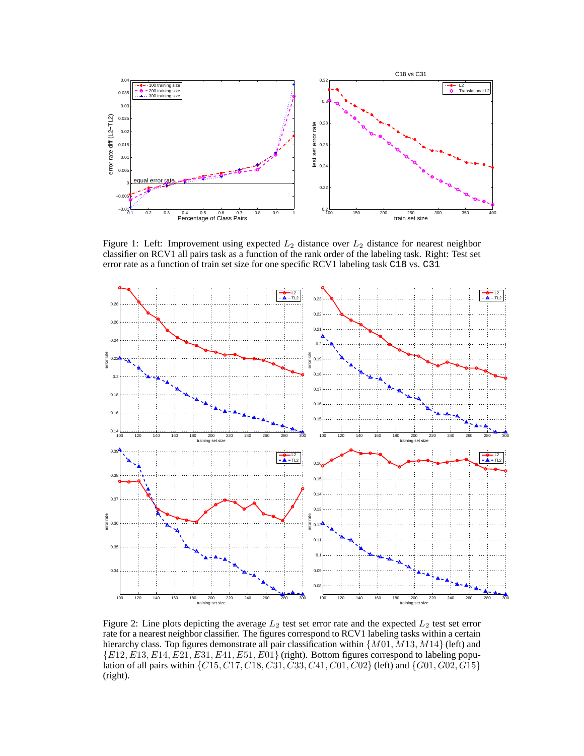

Figure 1: Left: Improvement using expected  $L_2$  distance over  $L_2$  distance for nearest neighbor classifier on RCV1 all pairs task as a function of the rank order of the labeling task. Right: Test set error rate as a function of train set size for one specific RCV1 labeling task C18 vs. C31



Figure 2: Line plots depicting the average  $L_2$  test set error rate and the expected  $L_2$  test set error rate for a nearest neighbor classifier. The figures correspond to RCV1 labeling tasks within a certain hierarchy class. Top figures demonstrate all pair classification within  $\{M01, M13, M14\}$  (left) and  ${E12, E13, E14, \dot{E}21, E31, E41, E51, E01}$  (right). Bottom figures correspond to labeling population of all pairs within  $\{C15, C17, C18, C31, C33, C41, C01, C02\}$  (left) and  $\{G01, G02, G15\}$ (right).